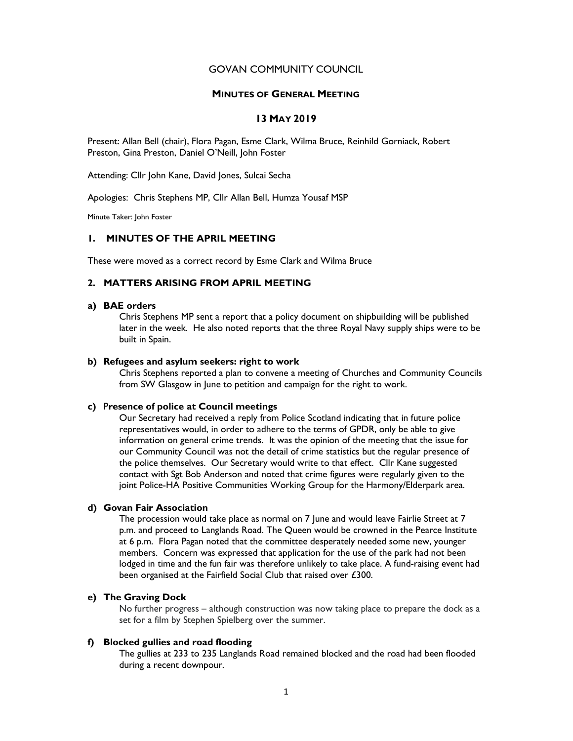## GOVAN COMMUNITY COUNCIL

#### MINUTES OF GENERAL MEETING

# 13 MAY 2019

Present: Allan Bell (chair), Flora Pagan, Esme Clark, Wilma Bruce, Reinhild Gorniack, Robert Preston, Gina Preston, Daniel O'Neill, John Foster

Attending: Cllr John Kane, David Jones, Sulcai Secha

Apologies: Chris Stephens MP, Cllr Allan Bell, Humza Yousaf MSP

Minute Taker: John Foster

## 1. MINUTES OF THE APRIL MEETING

These were moved as a correct record by Esme Clark and Wilma Bruce

## 2. MATTERS ARISING FROM APRIL MEETING

## a) BAE orders

Chris Stephens MP sent a report that a policy document on shipbuilding will be published later in the week. He also noted reports that the three Royal Navy supply ships were to be built in Spain.

### b) Refugees and asylum seekers: right to work

Chris Stephens reported a plan to convene a meeting of Churches and Community Councils from SW Glasgow in June to petition and campaign for the right to work.

### c) Presence of police at Council meetings

Our Secretary had received a reply from Police Scotland indicating that in future police representatives would, in order to adhere to the terms of GPDR, only be able to give information on general crime trends. It was the opinion of the meeting that the issue for our Community Council was not the detail of crime statistics but the regular presence of the police themselves. Our Secretary would write to that effect. Cllr Kane suggested contact with Sgt Bob Anderson and noted that crime figures were regularly given to the joint Police-HA Positive Communities Working Group for the Harmony/Elderpark area.

#### d) Govan Fair Association

The procession would take place as normal on 7 June and would leave Fairlie Street at 7 p.m. and proceed to Langlands Road. The Queen would be crowned in the Pearce Institute at 6 p.m. Flora Pagan noted that the committee desperately needed some new, younger members. Concern was expressed that application for the use of the park had not been lodged in time and the fun fair was therefore unlikely to take place. A fund-raising event had been organised at the Fairfield Social Club that raised over £300.

## e) The Graving Dock

No further progress – although construction was now taking place to prepare the dock as a set for a film by Stephen Spielberg over the summer.

# f) Blocked gullies and road flooding

The gullies at 233 to 235 Langlands Road remained blocked and the road had been flooded during a recent downpour.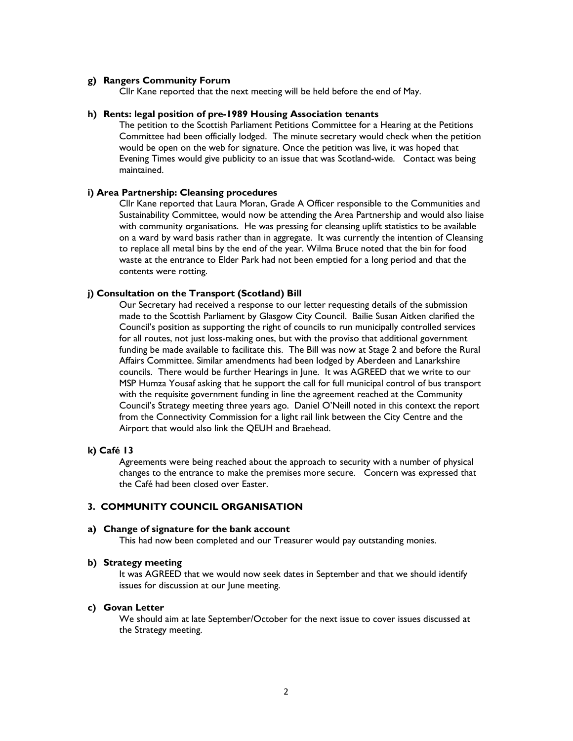### g) Rangers Community Forum

Cllr Kane reported that the next meeting will be held before the end of May.

### h) Rents: legal position of pre-1989 Housing Association tenants

The petition to the Scottish Parliament Petitions Committee for a Hearing at the Petitions Committee had been officially lodged. The minute secretary would check when the petition would be open on the web for signature. Once the petition was live, it was hoped that Evening Times would give publicity to an issue that was Scotland-wide. Contact was being maintained.

### i) Area Partnership: Cleansing procedures

Cllr Kane reported that Laura Moran, Grade A Officer responsible to the Communities and Sustainability Committee, would now be attending the Area Partnership and would also liaise with community organisations. He was pressing for cleansing uplift statistics to be available on a ward by ward basis rather than in aggregate. It was currently the intention of Cleansing to replace all metal bins by the end of the year. Wilma Bruce noted that the bin for food waste at the entrance to Elder Park had not been emptied for a long period and that the contents were rotting.

## j) Consultation on the Transport (Scotland) Bill

Our Secretary had received a response to our letter requesting details of the submission made to the Scottish Parliament by Glasgow City Council. Bailie Susan Aitken clarified the Council's position as supporting the right of councils to run municipally controlled services for all routes, not just loss-making ones, but with the proviso that additional government funding be made available to facilitate this. The Bill was now at Stage 2 and before the Rural Affairs Committee. Similar amendments had been lodged by Aberdeen and Lanarkshire councils. There would be further Hearings in June. It was AGREED that we write to our MSP Humza Yousaf asking that he support the call for full municipal control of bus transport with the requisite government funding in line the agreement reached at the Community Council's Strategy meeting three years ago. Daniel O'Neill noted in this context the report from the Connectivity Commission for a light rail link between the City Centre and the Airport that would also link the QEUH and Braehead.

#### k) Café 13

Agreements were being reached about the approach to security with a number of physical changes to the entrance to make the premises more secure. Concern was expressed that the Café had been closed over Easter.

## 3. COMMUNITY COUNCIL ORGANISATION

#### a) Change of signature for the bank account

This had now been completed and our Treasurer would pay outstanding monies.

#### b) Strategy meeting

It was AGREED that we would now seek dates in September and that we should identify issues for discussion at our June meeting.

# c) Govan Letter

We should aim at late September/October for the next issue to cover issues discussed at the Strategy meeting.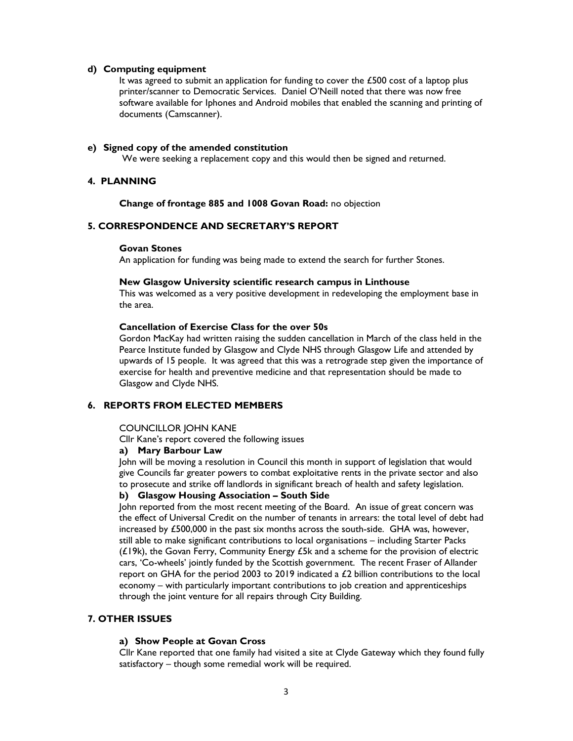## d) Computing equipment

It was agreed to submit an application for funding to cover the £500 cost of a laptop plus printer/scanner to Democratic Services. Daniel O'Neill noted that there was now free software available for Iphones and Android mobiles that enabled the scanning and printing of documents (Camscanner).

## e) Signed copy of the amended constitution

We were seeking a replacement copy and this would then be signed and returned.

## 4. PLANNING

Change of frontage 885 and 1008 Govan Road: no objection

# 5. CORRESPONDENCE AND SECRETARY'S REPORT

## Govan Stones

An application for funding was being made to extend the search for further Stones.

#### New Glasgow University scientific research campus in Linthouse

This was welcomed as a very positive development in redeveloping the employment base in the area.

### Cancellation of Exercise Class for the over 50s

Gordon MacKay had written raising the sudden cancellation in March of the class held in the Pearce Institute funded by Glasgow and Clyde NHS through Glasgow Life and attended by upwards of 15 people. It was agreed that this was a retrograde step given the importance of exercise for health and preventive medicine and that representation should be made to Glasgow and Clyde NHS.

### 6. REPORTS FROM ELECTED MEMBERS

#### COUNCILLOR JOHN KANE

Cllr Kane's report covered the following issues

### a) Mary Barbour Law

John will be moving a resolution in Council this month in support of legislation that would give Councils far greater powers to combat exploitative rents in the private sector and also to prosecute and strike off landlords in significant breach of health and safety legislation.

# b) Glasgow Housing Association – South Side

John reported from the most recent meeting of the Board. An issue of great concern was the effect of Universal Credit on the number of tenants in arrears: the total level of debt had increased by £500,000 in the past six months across the south-side. GHA was, however, still able to make significant contributions to local organisations – including Starter Packs (£19k), the Govan Ferry, Community Energy £5k and a scheme for the provision of electric cars, 'Co-wheels' jointly funded by the Scottish government. The recent Fraser of Allander report on GHA for the period 2003 to 2019 indicated a £2 billion contributions to the local economy – with particularly important contributions to job creation and apprenticeships through the joint venture for all repairs through City Building.

## 7. OTHER ISSUES

### a) Show People at Govan Cross

Cllr Kane reported that one family had visited a site at Clyde Gateway which they found fully satisfactory – though some remedial work will be required.